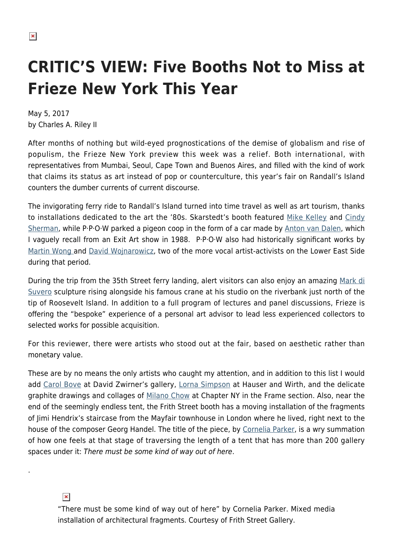# **CRITIC'S VIEW: Five Booths Not to Miss at Frieze New York This Year**

May 5, 2017 by Charles A. Riley II

After months of nothing but wild-eyed prognostications of the demise of globalism and rise of populism, the Frieze New York preview this week was a relief. Both international, with representatives from Mumbai, Seoul, Cape Town and Buenos Aires, and filled with the kind of work that claims its status as art instead of pop or counterculture, this year's fair on Randall's Island counters the dumber currents of current discourse.

The invigorating ferry ride to Randall's Island turned into time travel as well as art tourism, thanks to installations dedicated to the art the '80s. Skarstedt's booth featured [Mike Kelley](http://mikekelley.com/) and [Cindy](https://hamptonsarthub.com/2016/03/18/news-cindy-sherman-as-street-style-fashionista/) [Sherman](https://hamptonsarthub.com/2016/03/18/news-cindy-sherman-as-street-style-fashionista/), while P·P·O·W parked a pigeon coop in the form of a car made by [Anton van Dalen,](http://www.antonvandalen.com/) which I vaguely recall from an Exit Art show in 1988. P·P·O·W also had historically significant works by [Martin Wong a](https://en.wikipedia.org/wiki/Martin_Wong)nd [David Wojnarowicz,](https://www.artsy.net/artist/david-wojnarowicz) two of the more vocal artist-activists on the Lower East Side during that period.

During the trip from the 35th Street ferry landing, alert visitors can also enjoy an amazing [Mark di](http://www.spacetimecc.com/) [Suvero](http://www.spacetimecc.com/) sculpture rising alongside his famous crane at his studio on the riverbank just north of the tip of Roosevelt Island. In addition to a full program of lectures and panel discussions, Frieze is offering the "bespoke" experience of a personal art advisor to lead less experienced collectors to selected works for possible acquisition.

For this reviewer, there were artists who stood out at the fair, based on aesthetic rather than monetary value.

These are by no means the only artists who caught my attention, and in addition to this list I would add [Carol Bove](http://www.davidzwirner.com/artists/carol-bove) at David Zwirner's gallery, [Lorna Simpson](http://www.lsimpsonstudio.com/) at Hauser and Wirth, and the delicate graphite drawings and collages of [Milano Chow](http://milanochow.com/) at Chapter NY in the Frame section. Also, near the end of the seemingly endless tent, the Frith Street booth has a moving installation of the fragments of Jimi Hendrix's staircase from the Mayfair townhouse in London where he lived, right next to the house of the composer Georg Handel. The title of the piece, by [Cornelia Parker](https://en.wikipedia.org/wiki/Cornelia_Parker), is a wry summation of how one feels at that stage of traversing the length of a tent that has more than 200 gallery spaces under it: There must be some kind of way out of here.

#### $\pmb{\times}$

.

"There must be some kind of way out of here" by Cornelia Parker. Mixed media installation of architectural fragments. Courtesy of Frith Street Gallery.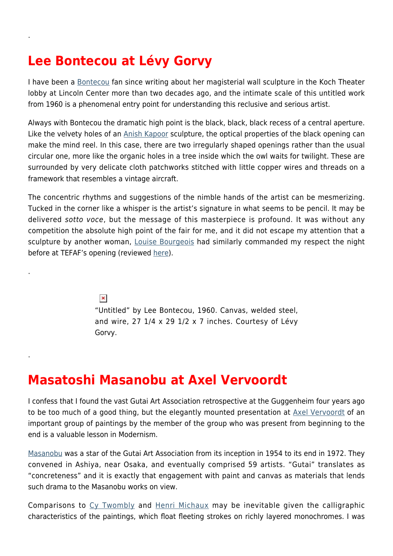## **Lee Bontecou at Lévy Gorvy**

.

.

.

I have been a [Bontecou](http://www.theartstory.org/artist-bontecou-lee.htm) fan since writing about her magisterial wall sculpture in the Koch Theater lobby at Lincoln Center more than two decades ago, and the intimate scale of this untitled work from 1960 is a phenomenal entry point for understanding this reclusive and serious artist.

Always with Bontecou the dramatic high point is the black, black, black recess of a central aperture. Like the velvety holes of an [Anish Kapoor](http://anishkapoor.com/) sculpture, the optical properties of the black opening can make the mind reel. In this case, there are two irregularly shaped openings rather than the usual circular one, more like the organic holes in a tree inside which the owl waits for twilight. These are surrounded by very delicate cloth patchworks stitched with little copper wires and threads on a framework that resembles a vintage aircraft.

The concentric rhythms and suggestions of the nimble hands of the artist can be mesmerizing. Tucked in the corner like a whisper is the artist's signature in what seems to be pencil. It may be delivered sotto voce, but the message of this masterpiece is profound. It was without any competition the absolute high point of the fair for me, and it did not escape my attention that a sculpture by another woman, [Louise Bourgeois](http://www.theartstory.org/artist-bourgeois-louise.htm) had similarly commanded my respect the night before at TEFAF's opening (reviewed [here](https://hamptonsarthub.com/2017/05/04/art-review-tefaf-offers-modern-and-contemporary-art-with-good-credentials/)).

> $\pmb{\times}$ "Untitled" by Lee Bontecou, 1960. Canvas, welded steel, and wire, 27 1/4 x 29 1/2 x 7 inches. Courtesy of Lévy Gorvy.

#### **Masatoshi Masanobu at Axel Vervoordt**

I confess that I found the vast Gutai Art Association retrospective at the Guggenheim four years ago to be too much of a good thing, but the elegantly mounted presentation at [Axel Vervoordt](http://www.axel-vervoordt.com/en/home) of an important group of paintings by the member of the group who was present from beginning to the end is a valuable lesson in Modernism.

[Masanobu](https://www.artsy.net/artist/masatoshi-masanobu) was a star of the Gutai Art Association from its inception in 1954 to its end in 1972. They convened in Ashiya, near Osaka, and eventually comprised 59 artists. "Gutai" translates as "concreteness" and it is exactly that engagement with paint and canvas as materials that lends such drama to the Masanobu works on view.

Comparisons to [Cy Twombly](https://www.artsy.net/artist/cy-twombly) and [Henri Michaux](https://en.wikipedia.org/wiki/Henri_Michaux) may be inevitable given the calligraphic characteristics of the paintings, which float fleeting strokes on richly layered monochromes. I was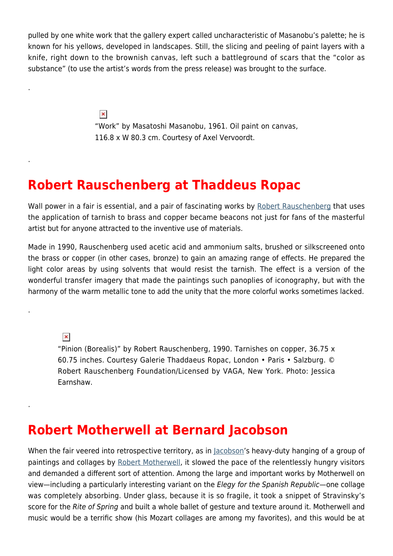pulled by one white work that the gallery expert called uncharacteristic of Masanobu's palette; he is known for his yellows, developed in landscapes. Still, the slicing and peeling of paint layers with a knife, right down to the brownish canvas, left such a battleground of scars that the "color as substance" (to use the artist's words from the press release) was brought to the surface.

> $\pmb{\times}$ "Work" by Masatoshi Masanobu, 1961. Oil paint on canvas, 116.8 x W 80.3 cm. Courtesy of Axel Vervoordt.

#### **Robert Rauschenberg at Thaddeus Ropac**

Wall power in a fair is essential, and a pair of fascinating works by [Robert Rauschenberg](https://hamptonsarthub.com/2015/11/01/whispers-out-of-time-in-rauschenberg-shows-at-pace-and-kempner/) that uses the application of tarnish to brass and copper became beacons not just for fans of the masterful artist but for anyone attracted to the inventive use of materials.

Made in 1990, Rauschenberg used acetic acid and ammonium salts, brushed or silkscreened onto the brass or copper (in other cases, bronze) to gain an amazing range of effects. He prepared the light color areas by using solvents that would resist the tarnish. The effect is a version of the wonderful transfer imagery that made the paintings such panoplies of iconography, but with the harmony of the warm metallic tone to add the unity that the more colorful works sometimes lacked.

 $\pmb{\times}$ 

.

.

.

.

"Pinion (Borealis)" by Robert Rauschenberg, 1990. Tarnishes on copper, 36.75 x 60.75 inches. Courtesy Galerie Thaddaeus Ropac, London • Paris • Salzburg. © Robert Rauschenberg Foundation/Licensed by VAGA, New York. Photo: Jessica Earnshaw.

#### **Robert Motherwell at Bernard Jacobson**

When the fair veered into retrospective territory, as in [Jacobson'](http://www.jacobsongallery.com/)s heavy-duty hanging of a group of paintings and collages by [Robert Motherwell](https://hamptonsarthub.com/2014/08/25/art-review-at-guild-hall-motherwells-process-of-evolution-revealed/), it slowed the pace of the relentlessly hungry visitors and demanded a different sort of attention. Among the large and important works by Motherwell on view—including a particularly interesting variant on the Elegy for the Spanish Republic—one collage was completely absorbing. Under glass, because it is so fragile, it took a snippet of Stravinsky's score for the Rite of Spring and built a whole ballet of gesture and texture around it. Motherwell and music would be a terrific show (his Mozart collages are among my favorites), and this would be at